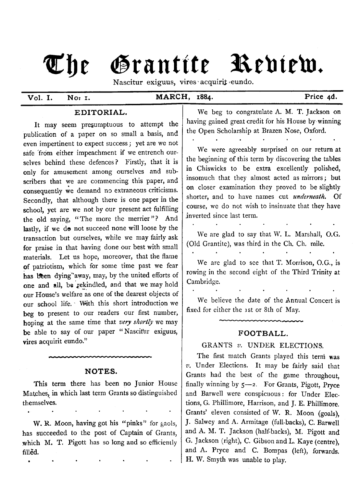# The Grantite Rediew.

Nascitur exiguus, vires acquirit eundo.

**Vol. I. Not i. MARCH, 1884. Price 4d.**

#### **EDITORIAL.**

It may seem presumptuous to attempt the publication of a paper on so small a basis, and even impertinent to expect success*;* yet are we not safe from either impeachment if we entrench ourselves behind these defences? Firstly, that it is only for amusement among ourselves and subscribers that we are commencing this paper, and consequently we demand no extraneous criticisms. Secondly, that although there is one paper in the school, yet are we not by our present act fulfilling the old saying, "The more the merrier"? And lastly, if we do not succeed none will loose by the transaction but ourselves, while we may fairly ask for praise in that having done our best with small materials. Let us hope, moreover, that the flame of patriotism, which for some time past we fear has been dying"away, may, by the united efforts of one and all, be rekindled, and that we may hold our House's welfare as one of the dearest objects of our school life. ' With this short introduction we beg to present to our readers our first number, hoping at the same time that *very shortly* we may be able to say of our paper " Nascifur exiguus, vires acquirit eundo."

### **NOTES.**

This term there has been no Junior House Matches, in which last term Grants so distinguished themselves.

W. R. Moon, having got his "pinks" for gaols, has succeeded to the post of Captain of Grants, which M. T. Pigott has so long and so efficiently filled.

We beg to congratulate A. M. T. Jackson on having gained great credit for his House by winning the Open Scholarship at Brazen Nose, Oxford.

We were agreeably surprised on our return at the beginning of this term by discovering the tables in Chiswicks to be extra excellently polished, insomuch that they almost acted as mirrors; but on closer examination they proved to be slightly shorter, and to have names cut *underneath*. Of course, we do not wish to insinuate that they have inverted since last term.

We are glad to say that W. L. Marshall, O.G. (Old Grantite), was third in the Ch. Ch. mile.

We are glad to see that T. Morrison, O.G., is rowing in the second eight of the Third Trinity at Cambridge.

We believe the date of the Annual Concert is fixed for either the 1st or 8th of May.

#### **FOOTBALL.**

## GRANTS v. UNDER ELECTIONS.

The first match Grants played this term was *v.* Under Elections. It may be fairly said that Grants had the best of the game throughout, finally winning by  $5$ —2. For Grants, Pigott, Pryce and Barwell were conspicuous: for Under Elections, G. Phillimore, Harrison, and J. E. Phillimore. Grants' eleven consisted of W. R. Moon (goals), J. Salwey and A. Armitage (full-backs), C. Barwell and A. M. T. Jackson (half-backs), M. Pigott and G. Jackson (right), C. Gibson and L. Kaye (centre), and A. Pryce and C. Bompas (left), forwards. H. W. Smyth was unable to play.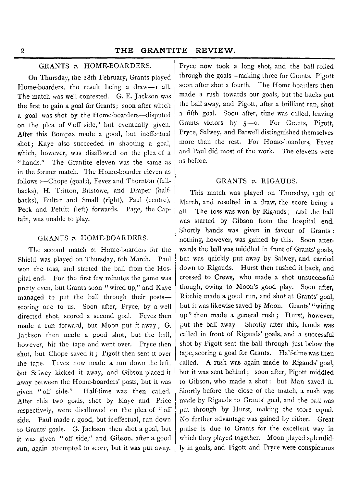## GRANTS *v.* HOME-BOARDERS.

On Thursday, the 28th February, Grants played Home-boarders, the result being a draw- $r$  all. The match was well contested. G. E. Jackson was the first to gain a goal for Grants; soon after which a goal was shot by the Home-boarders— disputed on the plea of "off side." but eventually given. After this Bompas made a good, but ineffectual shot; Kaye also succeeded in shooting a goal, which, however, was disallowed on the plea of a " hands." The Grantite eleven was the same as in the former match. The Home-boarder eleven as follows :— Chope (goals), Fevez and Thornton (fullbacks), H. Tritton, Bristowe, and Draper (halfbacks), Bultar and Small (right), Paul (centre), Peck and Pettitt (left) forwards. Page, the Captain, was unable to play.

#### GRANTS *v.* HOME-BOARDERS.

The second match *v.* Home-boarders for the Shield was played on Thursday, 6th March. Paul won the toss, and started the ball from the Hospital end. For the first few minutes the game was pretty even, but Grants soon " wired up," and Kaye managed to put the ball through their posts scoring one to us. Soon after, Pryce, by a well directed shot, scored a second goal. Fevez then made a run forward, but Moon put it away; G. Jackson then made a good shot, but the ball, however, hit the tape and went over. Pryce then shot, but Chope saved it; Pigott then sent it over the tape. Fevez now made a run down the left, but Salwey kicked it away, and Gibson placed it away between the Home-boarders' posts, but it was given " off side." Half-time was then called. After this two goals, shot by Kaye and Price respectively, were disallowed on the plea of " off side. Paul made a good, but ineffectual, run down to Grants' goals. G. Jackson then shot a goal, but it was given " off side," and Gibson, after a good run, again attempted to score, but it was put away.

Pryce now took a long shot, and the ball rolled through the goals— making three for Grants. Pigott soon after shot a fourth. The Home-boarders then made a rush towards our goals, but the backs put the ball away, and Pigott, after a brilliant run, shot a fifth goal. Soon after, time was called, leaving Grants victors by 5— o. For Grants, Pigott, Pryce, Salwey, and Barwell distinguished themselves more than the rest. For Home-boarders, Fevez and Paul did most of the work. The elevens were as before.

#### GRANTS  $v$ . RIGAUDS.

This match was played on Thursday, 13th of March, and resulted in a draw, the score being 1 all. The toss was won by Rigauds; and the ball was started by Gibson from the hospital end. Shortly hands was given in favour of Grants : nothing, however, was gained by this. Soon afterwards the ball was middled in front of Grants' goals, but was quickly put away by Salwey, and carried down to Rigauds. Hurst then rushed it back, and crossed to Crews, who made a shot unsuccessful though, owing to Moon's good play. Soon after, Ritchie made a good run, and shot at Grants' goal, but it was likewise saved by Moon. Grants' " wiring up" then made a general rush; Hurst, however, put the ball away. Shortly after this, hands was called in front of Rigauds' goals, and a successful shot by Pigott sent the ball through just below the tape, scoring a goal for Grants. Half-time was then called. A rush was again made to Rigauds' goal, but it was sent behind; soon after, Pigott middled to Gibson, who made a shot: but Man saved it. Shortly before the close of the match, a rush was made by Rigauds to Grants' goal, and the ball was put through by Hurst, making the score equal. No further advantage was gained by either. Great praise is due to Grants for the excellent way in which they played together. Moon played splendidly in goals, and Pigott and Pryce were conspicuous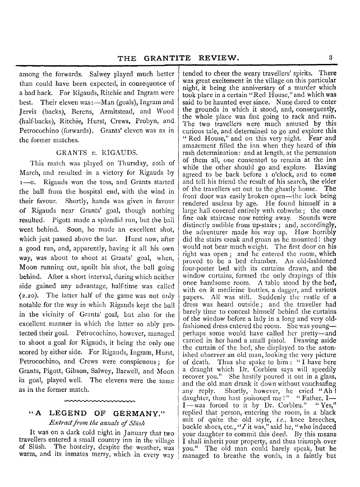among the forwards. Salwey played much better than could have been expected, in consequence of a bad hack. For Rigauds, Ritchie and Ingram were best. Their eleven was:— Man (goals), Ingram and Jervis (backs), Berens, Armitstead, and Wood (half-backs), Ritchie, Hurst, Crews, Probyn, and Petrocochino (forwards). Grants' eleven was as in the former matches.

#### GRANTS v. RIGAUDS.

This match was played on Thursday, 20th of March, and resulted in a victory for Rigauds by 1— o. Rigauds won the toss, and Grants started the ball from the hospital end, with the wind in their favour. Shortly, hands was given in favour of Rigauds near Grants' goal, though nothing resulted. Pigott made a splendid run, but the ball went behind. Soon, he made an excellent shot, which just passed above the bar. Hurst now, after a good run, and, apparently, having it all his own way, was about to shoot at Grants' goal, when, Moon running out, spoilt his shot, the ball going behind. After a short interval, during which neither side gained any advantage, half-time was called *(2.20).* The latter half of the game was not only notable for the way in which Rigauds kept the ball in the vicinity of Grants' goal, but also for the excellent manner in which the latter so ably protected their goal. Petrocochino, however, managed to shoot a goal for Rigauds, it being the only one scored by either side. For Rigauds, Ingram, Hurst, Petrocochino, and Crews were conspicuous; for Grants, Pigott, Gibson, Salwey, Barwell, and Moon in goal, played well. The elevens were the same as in the former match.

# **" A LEGEND OF GERMANY."**

*Extract from the annals of Slüsh* 

It was on a dark cold night in January that two travellers entered a small country inn in the village of Slush. The hostelry, despite the weather, was warm, and its inmates merry, which in every way

tended to cheer the weary travellers' spirits. There was great excitement in the village on this particular night, it being the anniversary of a murder which took place in a certain " Red House," and which was said to be haunted ever since. None dared to enter the grounds in which it stood, and, consequently, the whole place was fast going to rack and ruin. The two travellers were much amused by this curious tale, and determined to go and explore this " Red House," and on this very night. Fear and amazement filled the inn when they heard of this rash determination: and at length, at the persuasion of them all, one consented to remain at the inn while the other should go and explore. Having agreed to be back before 1 o'clock, and to come and tell his friend the result of his search, the elder of the travellers set out to the ghastly house. The front door was easily broken open— the lock being rendered useless by age. He found himself in a large hall covered entirely with cobwebs; the once fine oak staircase now rotting away. Sounds were distinctly audible from up-stairs ; and, accordingly, the adventurer made his way up. How horribly did the stairs creak and groan as he mounted! they would not bear much weight. The first door on his right was open; and he entered the room, which proved to be a bed chamber. An old-fashioned four-poster bed with its curtains drawn, and the window curtains, formed the only drapings of this once handsome room. A table stood by the bed, with on it medicine bottles, a dagger, and various papers. All was still. Suddenly the rustle of a dress was heard outside; and the traveller had barely time to conceal himself behind the curtains of the window before a lady in a long and very oldfashioned dress entered the room. She was young perhaps some would have called her pretty— and carried in her hand a small pistol. Drawing aside the curtain of the bed, she displayed to the astonished observer an old man, looking the very picture of death. Thus she spake to him : " I have here a draught which Dr. Corbleu says will speedily recover you." She hastily poured it out in a glass, and the old man drank it down without vouchsafing any reply. Shortly, however, he cried " Ah ! daughter, thou hast poisoned me !" "Father, I— I-was forced to it by Dr. Corbleu." "Yes," replied that person, entering the room, in a black suit of quite the old style, *i.e.,* knee breeches, buckle shoes, etc., " $I$  it was," said he, "who induced your daughter to commit this deed. By this means I shall inherit your property, and thus triumph over you." The old man could barely speak, but he managed to breathe the words, in a faintly but